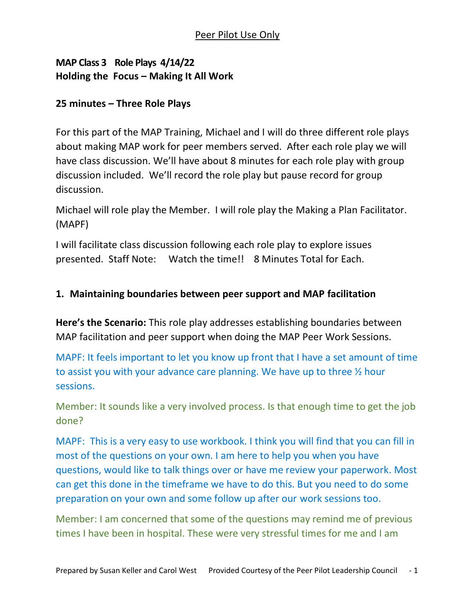## **MAP Class 3 Role Plays 4/14/22 Holding the Focus – Making It All Work**

### **25 minutes – Three Role Plays**

For this part of the MAP Training, Michael and I will do three different role plays about making MAP work for peer members served. After each role play we will have class discussion. We'll have about 8 minutes for each role play with group discussion included. We'll record the role play but pause record for group discussion.

Michael will role play the Member. I will role play the Making a Plan Facilitator. (MAPF)

I will facilitate class discussion following each role play to explore issues presented. Staff Note: Watch the time!! 8 Minutes Total for Each.

### **1. Maintaining boundaries between peer support and MAP facilitation**

**Here's the Scenario:** This role play addresses establishing boundaries between MAP facilitation and peer support when doing the MAP Peer Work Sessions.

MAPF: It feels important to let you know up front that I have a set amount of time to assist you with your advance care planning. We have up to three ½ hour sessions.

Member: It sounds like a very involved process. Is that enough time to get the job done?

MAPF: This is a very easy to use workbook. I think you will find that you can fill in most of the questions on your own. I am here to help you when you have questions, would like to talk things over or have me review your paperwork. Most can get this done in the timeframe we have to do this. But you need to do some preparation on your own and some follow up after our work sessions too.

Member: I am concerned that some of the questions may remind me of previous times I have been in hospital. These were very stressful times for me and I am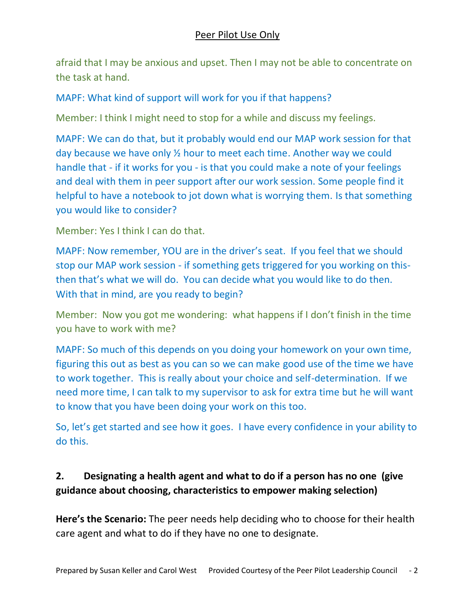afraid that I may be anxious and upset. Then I may not be able to concentrate on the task at hand.

## MAPF: What kind of support will work for you if that happens?

Member: I think I might need to stop for a while and discuss my feelings.

MAPF: We can do that, but it probably would end our MAP work session for that day because we have only ½ hour to meet each time. Another way we could handle that - if it works for you - is that you could make a note of your feelings and deal with them in peer support after our work session. Some people find it helpful to have a notebook to jot down what is worrying them. Is that something you would like to consider?

Member: Yes I think I can do that.

MAPF: Now remember, YOU are in the driver's seat. If you feel that we should stop our MAP work session - if something gets triggered for you working on thisthen that's what we will do. You can decide what you would like to do then. With that in mind, are you ready to begin?

Member: Now you got me wondering: what happens if I don't finish in the time you have to work with me?

MAPF: So much of this depends on you doing your homework on your own time, figuring this out as best as you can so we can make good use of the time we have to work together. This is really about your choice and self-determination. If we need more time, I can talk to my supervisor to ask for extra time but he will want to know that you have been doing your work on this too.

So, let's get started and see how it goes. I have every confidence in your ability to do this.

# **2. Designating a health agent and what to do if a person has no one (give guidance about choosing, characteristics to empower making selection)**

**Here's the Scenario:** The peer needs help deciding who to choose for their health care agent and what to do if they have no one to designate.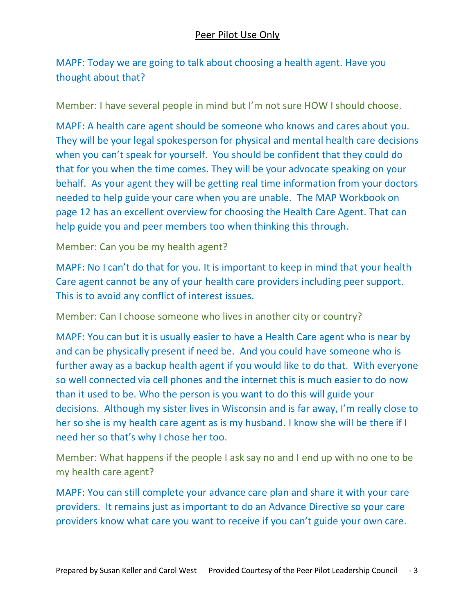MAPF: Today we are going to talk about choosing a health agent. Have you thought about that?

Member: I have several people in mind but I'm not sure HOW I should choose.

MAPF: A health care agent should be someone who knows and cares about you. They will be your legal spokesperson for physical and mental health care decisions when you can't speak for yourself. You should be confident that they could do that for you when the time comes. They will be your advocate speaking on your behalf. As your agent they will be getting real time information from your doctors needed to help guide your care when you are unable. The MAP Workbook on page 12 has an excellent overview for choosing the Health Care Agent. That can help guide you and peer members too when thinking this through.

Member: Can you be my health agent?

MAPF: No I can't do that for you. It is important to keep in mind that your health Care agent cannot be any of your health care providers including peer support. This is to avoid any conflict of interest issues.

Member: Can I choose someone who lives in another city or country?

MAPF: You can but it is usually easier to have a Health Care agent who is near by and can be physically present if need be. And you could have someone who is further away as a backup health agent if you would like to do that. With everyone so well connected via cell phones and the internet this is much easier to do now than it used to be. Who the person is you want to do this will guide your decisions. Although my sister lives in Wisconsin and is far away, I'm really close to her so she is my health care agent as is my husband. I know she will be there if I need her so that's why I chose her too.

Member: What happens if the people I ask say no and I end up with no one to be my health care agent?

MAPF: You can still complete your advance care plan and share it with your care providers. It remains just as important to do an Advance Directive so your care providers know what care you want to receive if you can't guide your own care.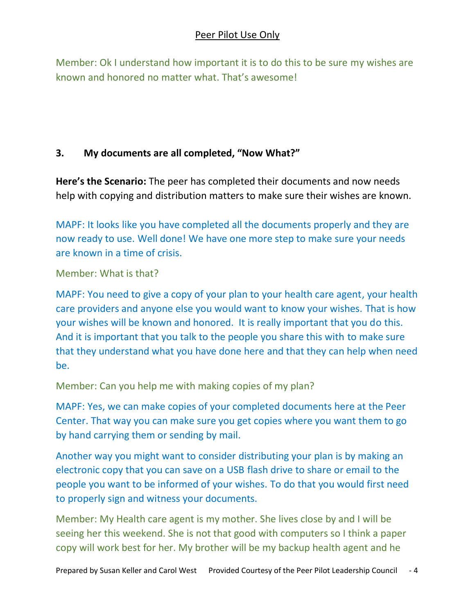### Peer Pilot Use Only

Member: Ok I understand how important it is to do this to be sure my wishes are known and honored no matter what. That's awesome!

### **3. My documents are all completed, "Now What?"**

**Here's the Scenario:** The peer has completed their documents and now needs help with copying and distribution matters to make sure their wishes are known.

MAPF: It looks like you have completed all the documents properly and they are now ready to use. Well done! We have one more step to make sure your needs are known in a time of crisis.

#### Member: What is that?

MAPF: You need to give a copy of your plan to your health care agent, your health care providers and anyone else you would want to know your wishes. That is how your wishes will be known and honored. It is really important that you do this. And it is important that you talk to the people you share this with to make sure that they understand what you have done here and that they can help when need be.

Member: Can you help me with making copies of my plan?

MAPF: Yes, we can make copies of your completed documents here at the Peer Center. That way you can make sure you get copies where you want them to go by hand carrying them or sending by mail.

Another way you might want to consider distributing your plan is by making an electronic copy that you can save on a USB flash drive to share or email to the people you want to be informed of your wishes. To do that you would first need to properly sign and witness your documents.

Member: My Health care agent is my mother. She lives close by and I will be seeing her this weekend. She is not that good with computers so I think a paper copy will work best for her. My brother will be my backup health agent and he